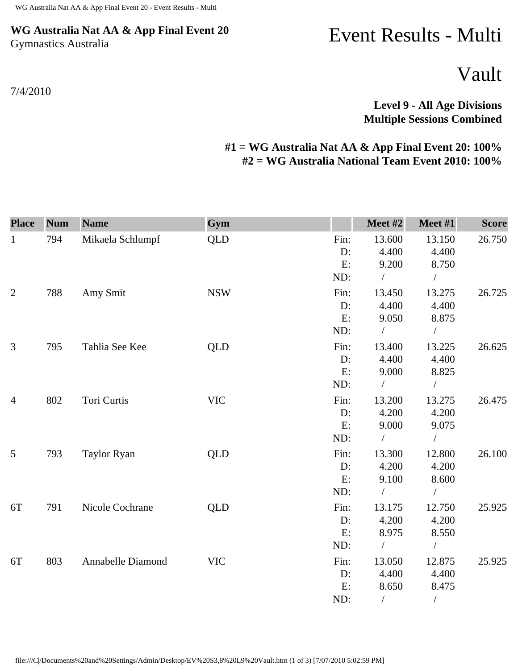## **WG Australia Nat AA & App Final Event 20** Gymnastics Australia

7/4/2010

## Event Results - Multi

Vault

**Level 9 - All Age Divisions Multiple Sessions Combined** 

## **#1 = WG Australia Nat AA & App Final Event 20: 100% #2 = WG Australia National Team Event 2010: 100%**

| <b>Place</b>   | <b>Num</b> | <b>Name</b>        | Gym        |                  | Meet #2                  | Meet #1                  | <b>Score</b> |
|----------------|------------|--------------------|------------|------------------|--------------------------|--------------------------|--------------|
| $\mathbf{1}$   | 794        | Mikaela Schlumpf   | <b>QLD</b> | Fin:<br>D:<br>E: | 13.600<br>4.400<br>9.200 | 13.150<br>4.400<br>8.750 | 26.750       |
|                |            |                    |            | ND:              | $\sqrt{2}$               | $\sqrt{2}$               |              |
| $\overline{2}$ | 788        | Amy Smit           | <b>NSW</b> | Fin:             | 13.450                   | 13.275                   | 26.725       |
|                |            |                    |            | D:               | 4.400                    | 4.400                    |              |
|                |            |                    |            | E:               | 9.050                    | 8.875                    |              |
|                |            |                    |            | ND:              |                          | $\sqrt{2}$               |              |
| 3              | 795        | Tahlia See Kee     | QLD        | Fin:             | 13.400                   | 13.225                   | 26.625       |
|                |            |                    |            | $D$ :            | 4.400                    | 4.400                    |              |
|                |            |                    |            | E:               | 9.000                    | 8.825                    |              |
|                |            |                    |            | ND:              | $\sqrt{2}$               | $\sqrt{2}$               |              |
| $\overline{4}$ | 802        | Tori Curtis        | <b>VIC</b> | Fin:             | 13.200                   | 13.275                   | 26.475       |
|                |            |                    |            | D:               | 4.200                    | 4.200                    |              |
|                |            |                    |            | E:               | 9.000                    | 9.075                    |              |
|                |            |                    |            | ND:              | $\sqrt{2}$               | $\sqrt{2}$               |              |
| 5              | 793        | <b>Taylor Ryan</b> | <b>QLD</b> | Fin:             | 13.300                   | 12.800                   | 26.100       |
|                |            |                    |            | D:               | 4.200                    | 4.200                    |              |
|                |            |                    |            | E:               | 9.100                    | 8.600                    |              |
|                |            |                    |            | ND:              | $\sqrt{2}$               |                          |              |
| 6T             | 791        | Nicole Cochrane    | <b>QLD</b> | Fin:             | 13.175                   | 12.750                   | 25.925       |
|                |            |                    |            | $D$ :            | 4.200                    | 4.200                    |              |
|                |            |                    |            | E:               | 8.975                    | 8.550                    |              |
|                |            |                    |            | ND:              | $\sqrt{2}$               | $\sqrt{2}$               |              |
| 6T             | 803        | Annabelle Diamond  | <b>VIC</b> | Fin:             | 13.050                   | 12.875                   | 25.925       |
|                |            |                    |            | $D$ :            | 4.400                    | 4.400                    |              |
|                |            |                    |            | E:               | 8.650                    | 8.475                    |              |
|                |            |                    |            | ND:              | $\sqrt{2}$               | $\sqrt{2}$               |              |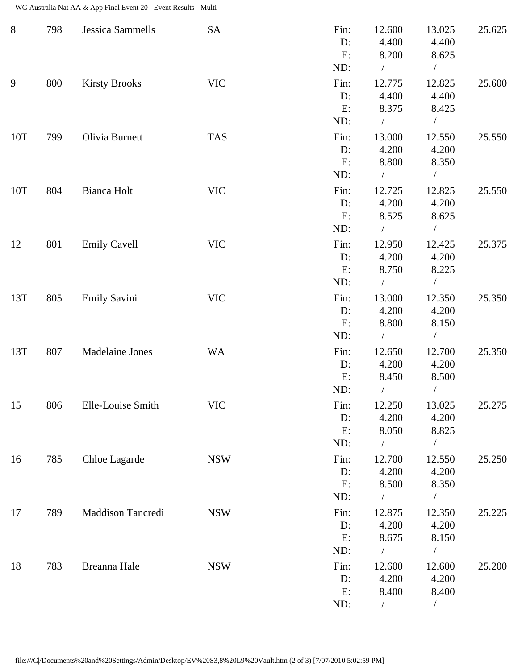WG Australia Nat AA & App Final Event 20 - Event Results - Multi

| $8\,$ | 798 | <b>Jessica Sammells</b> | <b>SA</b>  | Fin:<br>D:<br>E:<br>ND:    | 12.600<br>4.400<br>8.200<br>$\sqrt{2}$    | 13.025<br>4.400<br>8.625<br>$\sqrt{2}$ | 25.625 |
|-------|-----|-------------------------|------------|----------------------------|-------------------------------------------|----------------------------------------|--------|
| 9     | 800 | <b>Kirsty Brooks</b>    | <b>VIC</b> | Fin:<br>$D$ :<br>E:<br>ND: | 12.775<br>4.400<br>8.375<br>$\sqrt{2}$    | 12.825<br>4.400<br>8.425<br>$\sqrt{2}$ | 25.600 |
| 10T   | 799 | Olivia Burnett          | <b>TAS</b> | Fin:<br>D:<br>E:<br>ND:    | 13.000<br>4.200<br>8.800<br>$\sqrt{2}$    | 12.550<br>4.200<br>8.350<br>$\sqrt{2}$ | 25.550 |
| 10T   | 804 | Bianca Holt             | <b>VIC</b> | Fin:<br>D:<br>E:<br>ND:    | 12.725<br>4.200<br>8.525<br>$\sqrt{2}$    | 12.825<br>4.200<br>8.625<br>$\bigg)$   | 25.550 |
| 12    | 801 | <b>Emily Cavell</b>     | <b>VIC</b> | Fin:<br>D:<br>E:<br>ND:    | 12.950<br>4.200<br>8.750<br>$\sqrt{2}$    | 12.425<br>4.200<br>8.225<br>$\bigg)$   | 25.375 |
| 13T   | 805 | <b>Emily Savini</b>     | <b>VIC</b> | Fin:<br>D:<br>E:<br>ND:    | 13.000<br>4.200<br>8.800<br>$\sqrt{2}$    | 12.350<br>4.200<br>8.150<br>$\sqrt{2}$ | 25.350 |
| 13T   | 807 | <b>Madelaine Jones</b>  | <b>WA</b>  | Fin:<br>D:<br>E:<br>ND:    | 12.650<br>4.200<br>8.450                  | 12.700<br>4.200<br>8.500               | 25.350 |
| 15    | 806 | Elle-Louise Smith       | <b>VIC</b> | Fin:<br>D:<br>E:<br>ND:    | 12.250<br>4.200<br>8.050<br>$\sqrt{2}$    | 13.025<br>4.200<br>8.825<br>$\sqrt{2}$ | 25.275 |
| 16    | 785 | Chloe Lagarde           | <b>NSW</b> | Fin:<br>D:<br>E:<br>ND:    | 12.700<br>4.200<br>8.500                  | 12.550<br>4.200<br>8.350               | 25.250 |
| 17    | 789 | Maddison Tancredi       | <b>NSW</b> | Fin:<br>D:<br>E:<br>ND:    | 12.875<br>4.200<br>8.675<br>$\frac{1}{2}$ | 12.350<br>4.200<br>8.150<br>$\sqrt{2}$ | 25.225 |
| 18    | 783 | Breanna Hale            | <b>NSW</b> | Fin:<br>$D$ :<br>E:<br>ND: | 12.600<br>4.200<br>8.400                  | 12.600<br>4.200<br>8.400<br>$\sqrt{2}$ | 25.200 |